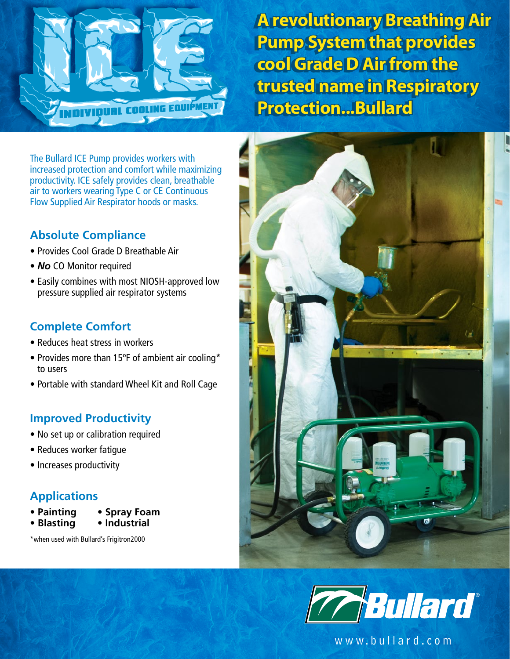

**A revolutionary Breathing Air A revolutionary Breathing Air Pump System that provides Pump System that provides cool Grade D Air from the cool Grade D Air from the trusted name in Respiratory trusted name in Respiratory Protection...Bullard Protection...Bullard**

The Bullard ICE Pump provides workers with increased protection and comfort while maximizing productivity. ICE safely provides clean, breathable air to workers wearing Type C or CE Continuous Flow Supplied Air Respirator hoods or masks.

# **Absolute Compliance**

- Provides Cool Grade D Breathable Air
- *No* CO Monitor required
- Easily combines with most NIOSH-approved low pressure supplied air respirator systems

# **Complete Comfort**

- Reduces heat stress in workers
- Provides more than 15ºF of ambient air cooling\* to users
- Portable with standard Wheel Kit and Roll Cage

### **Improved Productivity**

- No set up or calibration required
- Reduces worker fatigue
- Increases productivity

### **Applications**

- **Painting Spray Foam**
- **Blasting Industrial**

\*when used with Bullard's Frigitron2000





www.bullard.com